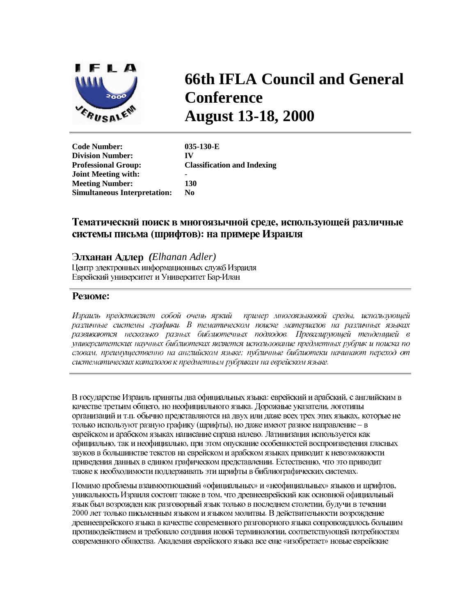

## **66th IFLA Council and General Conference August 13-18, 2000**

**Code Number: 035-130-E Division Number: IV Professional Group: Classification and Indexing Joint Meeting with:** - **Meeting Number: 130 Simultaneous Interpretation: No** 

## Тематический поиск в многоязычной среде, использующей различные системы письма (шрифтов): на примере Израиля

*(Elhanan Adler)* Центр электронных информационных служб Израиля Еврейский университет и Университет Бар-Илан

## **Резюме:**

Израиль представляет собой очень яркий пример многоязыковой среды, использующей различные системы графики. В тематическом поиске материалов на различных языках развиваются несколько разных библиотечных подходов. Превалирующей тенденцией в университетских научных библиотеках является использование предметных рубрик и поиска по словам, преимущественно на английском языке; публичные библиотеки начинают переход от систематических каталогов к предметным рубрикам на еврейском языке.

В государстве Израиль приняты два официальных языка: еврейский и арабский, с английским в качестве третьим общего, но неофициального языка. Дорожные указатели, логотипы организаций и т.п. обычно представляются на двух или даже всех трех этих языках, которые не только используют разную графику (шрифты), но даже имеют разное направление - в еврейском и арабском языках написание справа налево. Латинизация используется как официально, так и неофициально, при этом опускание особенностей воспроизведения гласных звуков в большинстве текстов на еврейском и арабском языках приводит к невозможности приведения данных в едином графическом представлении. Естественно, что это приводит также к необходимости поддерживать эти шрифты в библиографических системах.

Помимо проблемы взаимоотношений «официальных» и «неофициальных» языков и шрифтов, уникальность Израиля состоит также в том, что древнееврейский как основной официальный язык был возрожден как разговорный язык только в последнем столетии, будучи в течении 2000 лет только письменным языком и языком молитвы. В действительности возрождение древнееврейского языка в качестве современного разговорного языка сопровождалось большим противодействием и требовало создания новой терминологии, соответствующей потребностям современного общества. Академия еврейского языка все еще «изобретает» новые еврейские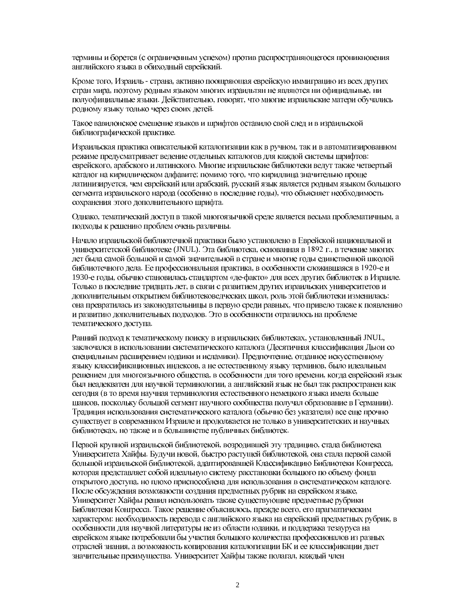термины и борется (с ограниченным успехом) против распространяющегося проникновения английского языка в обиходный еврейский.

Кроме того, Израиль - страна, активно поощряющая еврейскую иммиграцию из всех других стран мира, поэтому родным языком многих израильтян не являются ни официальные, ни полуофициальные языки. Действительно, говорят, что многие израильские матери обучались родному языку только через своих детей.

Такое вавилонское смешение языков и шрифтов оставило свой след и в израильской библиографической практике.

Израильская практика описательной каталогизации как в ручном, так и в автоматизированном режиме прелусматривает веление отдельных каталогов для каждой системы шрифтов: еврейского, арабского и латинского. Многие израильские библиотеки ведут также четвертый каталог на кириллическом алфавите; помимо того, что кириллица значительно проще латинизируется, чем еврейский или арабский, русский язык является родным языком большого сегмента израильского народа (особенно в последние годы), что объясняет необходимость сохранения этого дополнительного шрифта.

Однако, тематический доступ в такой многоязычной среде является весьма проблематичным, а подходы к решению проблем очень различны.

Начало израильской библиотечной практики было установлено в Еврейской национальной и университетской библиотеке (JNUL). Эта библиотека, основанная в 1892 г., в течение многих лет была самой большой и самой значительной в стране и многие годы единственной школой библиотечного дела. Ее профессиональная практика, в особенности сложившаяся в 1920-е и 1930-е годы, обычно становилась стандартом «де-факто» для всех других библиотек в Израиле. Только в последние тридцать лет, в связи с развитием других израильских университетов и дополнительным открытием библиотековедческих школ, роль этой библиотеки изменилась: она превратилась из законодательницы в первую среди равных, что привело также к появлению и развитию дополнительных подходов. Это в особенности отразилось на проблеме тематического доступа.

Ранний подход к тематическому поиску в израильских библиотеках, установленный JNUL, заключался в использовании систематического каталога (Десятичная классификация Дьюи со специальным расширением юдаики и исламики). Предпочтение, отданное искусственному языку классификационных индексов, а не естественному языку терминов, было идеальным решением для многоязычного общества, в особенности для того времени, когда еврейский язык был неадекватен для научной терминологии, а английский язык не был так распространен как сегодня (в то время научная терминология естественного немецкого языка имела больше шансов, поскольку большой сегмент научного сообщества получал образование в Германии). Традиция использования систематического каталога (обычно без указателя) все еще прочно существует в современном Израиле и продолжается не только в университетских и научных библиотеках, но также и в большинстве публичных библиотек.

Первой крупной израильской библиотекой, возродившей эту традицию, стала библиотека Университета Хайфы. Будучи новой, быстро растущей библиотекой, она стала первой самой большой израильской библиотекой, адаптировавшей Классификацию Библиотеки Конгресса, которая представляет собой идеальную систему расстановки большого по объему фонда открытого доступа, но плохо приспособлена для использования в систематическом каталоге. После обсуждения возможности создания предметных рубрик на еврейском языке, Университет Хайфы решил использовать также существующие предметные рубрики Библиотеки Конгресса. Такое решение объяснялось, прежде всего, его прагматическим характером: необходимость перевода с английского языка на еврейский предметных рубрик, в особенности для научной литературы не из области юдаики, и поддержка тезауруса на еврейском языке потребовали бы участия большого количества профессионалов из разных отраслей знания, а возможность копирования каталогизации БК и ее классификации дает значительные преимущества. Университет Хайфы также полагал, каждый член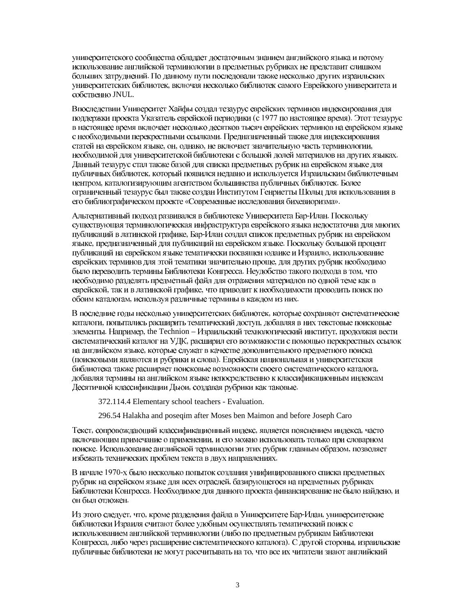университетского сообщества обладает достаточным знанием английского языка и потому использование английской терминологии в предметных рубриках не представит слишком больших затруднений. По данному пути последовали также несколько других израильских университетских библиотек, включая несколько библиотек самого Еврейского университета и собственно JNUL.

Впоследствии Университет Хайфы создал тезаурус еврейских терминов индексирования для поддержки проекта Указатель еврейской периодики (с 1977 по настоящее время). Этот тезаурус в настоящее время включает несколько десятков тысяч еврейских терминов на еврейском языке с необходимыми перекрестными ссылками. Предназначенный также для индексирования статей на еврейском языке, он, однако, не включает значительную часть терминологии, необходимой для университетской библиотеки с большой долей материалов на других языках. Данный тезаурус стал также базой для списка предметных рубрик на еврейском языке для публичных библиотек, который появился недавно и используется Израильским библиотечным центром, каталогизирующим агентством большинства публичных библиотек. Более ограниченный тезаурус был также создан Институтом Генриетты Шольц для использования в его библиографическом проекте «Современные исследования бихевиоризма».

Альтернативный подход развивался в библиотеке Университета Бар-Илан. Поскольку существующая терминологическая инфраструктура еврейского языка недостаточна для многих публикаций в латинской графике, Бар-Илан создал список предметных рубрик на еврейском языке, предназначенный для публикаций на еврейском языке. Поскольку большой процент публикаций на еврейском языке тематически посвящен юдаике и Израилю, использование еврейских терминов для этой тематики значительно проще, для других рубрик необходимо было переводить термины Библиотеки Конгресса. Неудобство такого подхода в том, что необходимо разделять предметный файл для отражения материалов по одной теме как в еврейской, так и в латинской графике, что приводит к необходимости проводить поиск по обоим каталогам, используя различные термины в каждом из них.

В последние годы несколько университетских библиотек, которые сохраняют систематические каталоги, попытались расширить тематический доступ, добавляя в них текстовые поисковые элементы. Например, the Technion - Израильский технологический институт, продолжая вести систематический каталог на УДК, расширил его возможности с помощью перекрестных ссылок на английском языке, которые служат в качестве дополнительного предметного поиска (поисковыми являются и рубрики и слова). Еврейская национальная и университетская библиотека также расширяет поисковые возможности своего систематического каталога, добавляя термины на английском языке непосредственно к классификационным индексам Десятичной классификации Дьюи, создавая рубрики как таковые.

372.114.4 Elementary school teachers - Evaluation.

296.54 Halakha and poseqim after Moses ben Maimon and before Joseph Caro

Текст, сопровождающий классификационный индекс, является пояснением индекса, часто включающим примечание о применении, и его можно использовать только при словарном поиске. Использование английской терминологии этих рубрик главным образом, позволяет избежать технических проблем текста в двух направлениях.

В начале 1970-х было несколько попыток создания унифицированного списка предметных рубрик на еврейском языке для всех отраслей, базирующегося на предметных рубриках Библиотеки Конгресса. Необходимое для данного проекта финансирование не было найдено, и он был отложен.

Из этого следует, что, кроме разделения файла в Университете Бар-Илан, университетские библиотеки Израиля считают более удобным осуществлять тематический поиск с использованием английской терминологии (либо по предметным рубрикам Библиотеки Конгресса, либо через расширение систематического каталога). С другой стороны, израильские публичные библиотеки не могут рассчитывать на то, что все их читатели знают английский